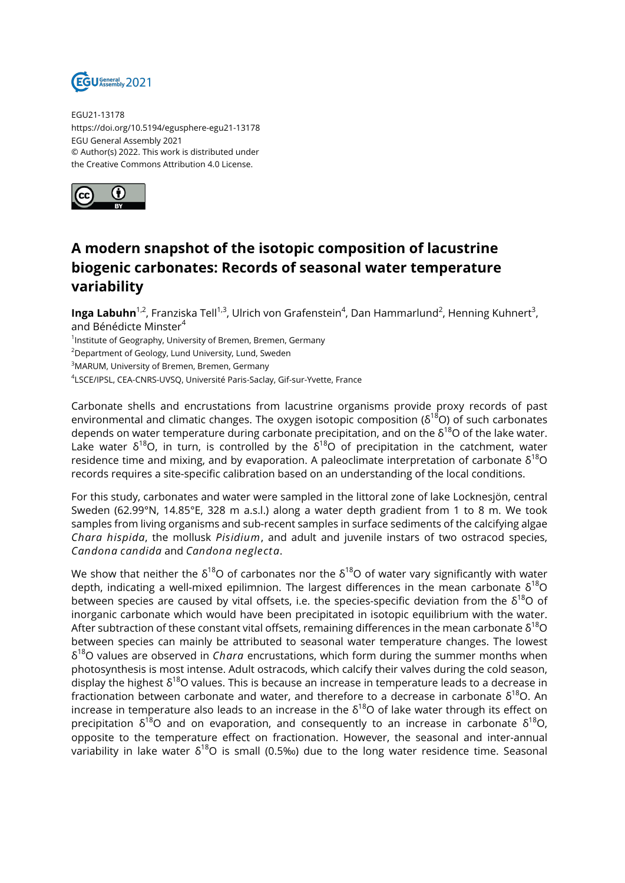

EGU21-13178 https://doi.org/10.5194/egusphere-egu21-13178 EGU General Assembly 2021 © Author(s) 2022. This work is distributed under the Creative Commons Attribution 4.0 License.



## **A modern snapshot of the isotopic composition of lacustrine biogenic carbonates: Records of seasonal water temperature variability**

**Inga Labuhn<sup>1,2</sup>,** Franziska Tell<sup>1,3</sup>, Ulrich von Grafenstein<sup>4</sup>, Dan Hammarlund<sup>2</sup>, Henning Kuhnert<sup>3</sup>, and Bénédicte Minster<sup>4</sup>

 $^{\text{1}}$ Institute of Geography, University of Bremen, Bremen, Germany

<sup>2</sup>Department of Geology, Lund University, Lund, Sweden

<sup>3</sup>MARUM, University of Bremen, Bremen, Germany

4 LSCE/IPSL, CEA-CNRS-UVSQ, Université Paris-Saclay, Gif-sur-Yvette, France

Carbonate shells and encrustations from lacustrine organisms provide proxy records of past environmental and climatic changes. The oxygen isotopic composition ( $\delta^{18}$ O) of such carbonates depends on water temperature during carbonate precipitation, and on the  $\delta^{18}$ O of the lake water. Lake water  $\delta^{18}$ O, in turn, is controlled by the  $\delta^{18}$ O of precipitation in the catchment, water residence time and mixing, and by evaporation. A paleoclimate interpretation of carbonate  $\delta^{18}O$ records requires a site-specific calibration based on an understanding of the local conditions.

For this study, carbonates and water were sampled in the littoral zone of lake Locknesjön, central Sweden (62.99°N, 14.85°E, 328 m a.s.l.) along a water depth gradient from 1 to 8 m. We took samples from living organisms and sub-recent samples in surface sediments of the calcifying algae *Chara hispida*, the mollusk *Pisidium*, and adult and juvenile instars of two ostracod species, *Candona candida* and *Candona neglecta*.

We show that neither the  $\delta^{18}O$  of carbonates nor the  $\delta^{18}O$  of water vary significantly with water depth, indicating a well-mixed epilimnion. The largest differences in the mean carbonate  $\delta^{18}O$ between species are caused by vital offsets, i.e. the species-specific deviation from the  $\delta^{18}O$  of inorganic carbonate which would have been precipitated in isotopic equilibrium with the water. After subtraction of these constant vital offsets, remaining differences in the mean carbonate  $\delta^{18}O$ between species can mainly be attributed to seasonal water temperature changes. The lowest δ <sup>18</sup>O values are observed in *Chara* encrustations, which form during the summer months when photosynthesis is most intense. Adult ostracods, which calcify their valves during the cold season, display the highest  $\delta^{18}$ O values. This is because an increase in temperature leads to a decrease in fractionation between carbonate and water, and therefore to a decrease in carbonate  $\delta^{18}$ O. An increase in temperature also leads to an increase in the  $\delta^{18}$ O of lake water through its effect on precipitation  $\delta^{18}$ O and on evaporation, and consequently to an increase in carbonate  $\delta^{18}$ O, opposite to the temperature effect on fractionation. However, the seasonal and inter-annual variability in lake water  $\delta^{18}O$  is small (0.5‰) due to the long water residence time. Seasonal